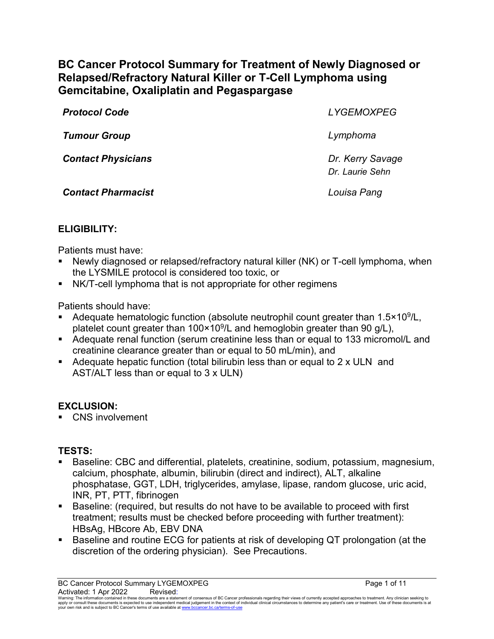# **BC Cancer Protocol Summary for Treatment of Newly Diagnosed or Relapsed/Refractory Natural Killer or T-Cell Lymphoma using Gemcitabine, Oxaliplatin and Pegaspargase**

| <b>Protocol Code</b>      | <b>LYGEMOXPEG</b>                   |
|---------------------------|-------------------------------------|
| <b>Tumour Group</b>       | Lymphoma                            |
| <b>Contact Physicians</b> | Dr. Kerry Savage<br>Dr. Laurie Sehn |
| <b>Contact Pharmacist</b> | Louisa Pang                         |

# **ELIGIBILITY:**

Patients must have:

- Newly diagnosed or relapsed/refractory natural killer (NK) or T-cell lymphoma, when the LYSMILE protocol is considered too toxic, or
- NK/T-cell lymphoma that is not appropriate for other regimens

Patients should have:

- Adequate hematologic function (absolute neutrophil count greater than 1.5×10<sup>9</sup>/L, platelet count greater than  $100 \times 10^9$ /L and hemoglobin greater than 90 g/L),
- Adequate renal function (serum creatinine less than or equal to 133 micromol/L and creatinine clearance greater than or equal to 50 mL/min), and
- Adequate hepatic function (total bilirubin less than or equal to 2 x ULN and AST/ALT less than or equal to 3 x ULN)

### **EXCLUSION:**

**CNS** involvement

### **TESTS:**

- Baseline: CBC and differential, platelets, creatinine, sodium, potassium, magnesium, calcium, phosphate, albumin, bilirubin (direct and indirect), ALT, alkaline phosphatase, GGT, LDH, triglycerides, amylase, lipase, random glucose, uric acid, INR, PT, PTT, fibrinogen
- Baseline: (required, but results do not have to be available to proceed with first treatment; results must be checked before proceeding with further treatment): HBsAg, HBcore Ab, EBV DNA
- Baseline and routine ECG for patients at risk of developing QT prolongation (at the discretion of the ordering physician). See Precautions.

BC Cancer Protocol Summary LYGEMOXPEG **Page 1** of 11 Activated: 1 Apr 2022 Revised:

Waming: The information contained in these documents are a statement of consensus of BC Cancer professionals regarding their views of currently accepted approaches to treatment. Any clinicial seeking to<br>apply or consult th your own risk and is subject to BC Cancer's terms of use available at www.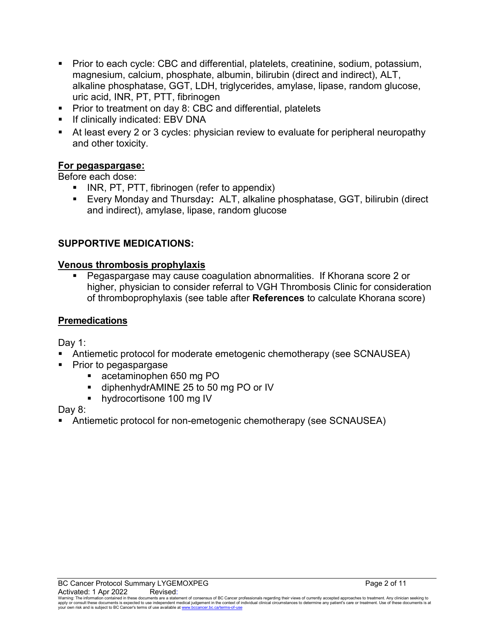- Prior to each cycle: CBC and differential, platelets, creatinine, sodium, potassium, magnesium, calcium, phosphate, albumin, bilirubin (direct and indirect), ALT, alkaline phosphatase, GGT, LDH, triglycerides, amylase, lipase, random glucose, uric acid, INR, PT, PTT, fibrinogen
- **Prior to treatment on day 8: CBC and differential, platelets**
- If clinically indicated: EBV DNA
- At least every 2 or 3 cycles: physician review to evaluate for peripheral neuropathy and other toxicity.

### **For pegaspargase:**

Before each dose:

- **INR, PT, PTT, fibrinogen (refer to appendix)**
- Every Monday and Thursday**:** ALT, alkaline phosphatase, GGT, bilirubin (direct and indirect), amylase, lipase, random glucose

### **SUPPORTIVE MEDICATIONS:**

#### **Venous thrombosis prophylaxis**

 Pegaspargase may cause coagulation abnormalities. If Khorana score 2 or higher, physician to consider referral to VGH Thrombosis Clinic for consideration of thromboprophylaxis (see table after **References** to calculate Khorana score)

#### **Premedications**

Day 1:

- Antiemetic protocol for moderate emetogenic chemotherapy (see SCNAUSEA)
- Prior to pegaspargase
	- acetaminophen 650 mg PO
	- diphenhydrAMINE 25 to 50 mg PO or IV
	- hydrocortisone 100 mg IV

Day 8:

Antiemetic protocol for non-emetogenic chemotherapy (see SCNAUSEA)

Warning: The information contained in these documents are a statement of consensus of BC Cancer professionals regarding their views of currently accepted approaches to treatment. Any clinician seeking to<br>apply or consult t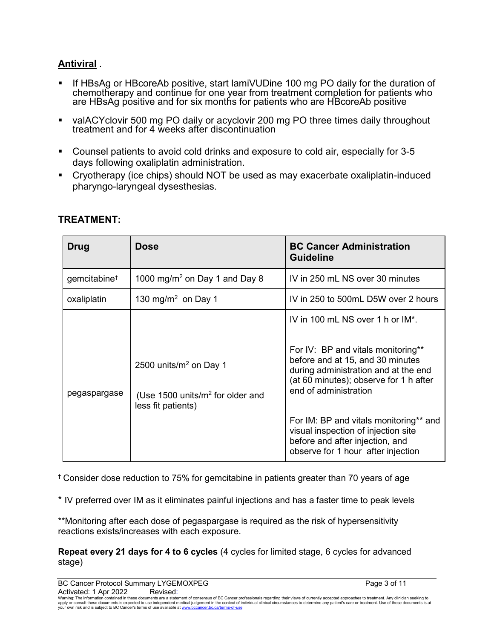# **Antiviral** .

- If HBsAg or HBcoreAb positive, start lamiVUDine 100 mg PO daily for the duration of chemotherapy and continue for one year from treatment completion for patients who are HBsAg positive and for six months for patients who are HBcoreAb positive
- valACYclovir 500 mg PO daily or acyclovir 200 mg PO three times daily throughout treatment and for 4 weeks after discontinuation
- Counsel patients to avoid cold drinks and exposure to cold air, especially for 3-5 days following oxaliplatin administration.
- Cryotherapy (ice chips) should NOT be used as may exacerbate oxaliplatin-induced pharyngo-laryngeal dysesthesias.

| Drug                     | <b>Dose</b>                                                                            | <b>BC Cancer Administration</b><br><b>Guideline</b>                                                                                                                               |
|--------------------------|----------------------------------------------------------------------------------------|-----------------------------------------------------------------------------------------------------------------------------------------------------------------------------------|
| gemcitabine <sup>+</sup> | 1000 mg/m <sup>2</sup> on Day 1 and Day 8                                              | IV in 250 mL NS over 30 minutes                                                                                                                                                   |
| oxaliplatin              | 130 mg/m <sup>2</sup> on Day 1                                                         | IV in 250 to 500mL D5W over 2 hours                                                                                                                                               |
|                          |                                                                                        | IV in 100 mL NS over 1 h or IM*.                                                                                                                                                  |
| pegaspargase             | 2500 units/ $m2$ on Day 1<br>(Use 1500 units/ $m2$ for older and<br>less fit patients) | For IV: BP and vitals monitoring**<br>before and at 15, and 30 minutes<br>during administration and at the end<br>(at 60 minutes); observe for 1 h after<br>end of administration |
|                          |                                                                                        | For IM: BP and vitals monitoring** and<br>visual inspection of injection site<br>before and after injection, and<br>observe for 1 hour after injection                            |

### **TREATMENT:**

**†** Consider dose reduction to 75% for gemcitabine in patients greater than 70 years of age

\* IV preferred over IM as it eliminates painful injections and has a faster time to peak levels

\*\*Monitoring after each dose of pegaspargase is required as the risk of hypersensitivity reactions exists/increases with each exposure.

**Repeat every 21 days for 4 to 6 cycles** (4 cycles for limited stage, 6 cycles for advanced stage)

BC Cancer Protocol Summary LYGEMOXPEG<br>Activated: 1 Apr 2022 Revised: Revised: Page 3 of 11

Activated: 1 Apr 2022<br>Warning: The information contained in these documents are a statement of consensus of BC Cancer professionals regarding their views of currently accepted approaches to treatment. Any clinician seeking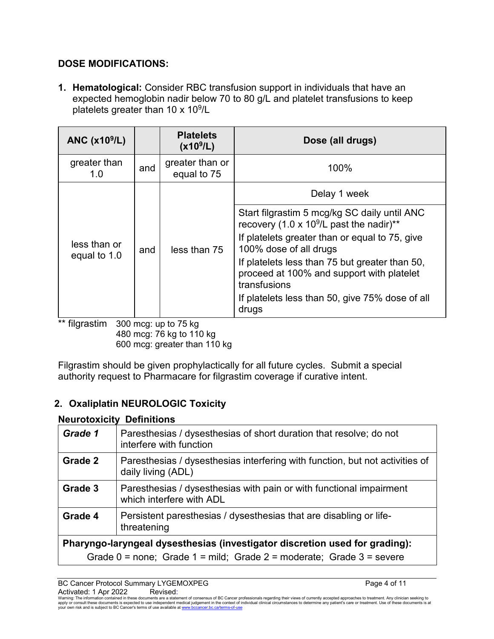# **DOSE MODIFICATIONS:**

**1. Hematological:** Consider RBC transfusion support in individuals that have an expected hemoglobin nadir below 70 to 80 g/L and platelet transfusions to keep platelets greater than 10  $\times$  10 $^{9}$ /L

| ANC $(x109/L)$               |     | <b>Platelets</b><br>(x10 <sup>9</sup> /L) | Dose (all drugs)                                                                                            |  |
|------------------------------|-----|-------------------------------------------|-------------------------------------------------------------------------------------------------------------|--|
| greater than<br>1.0          | and | greater than or<br>equal to 75            | 100%                                                                                                        |  |
|                              |     |                                           | Delay 1 week                                                                                                |  |
| less than or<br>equal to 1.0 | and | less than 75                              | Start filgrastim 5 mcg/kg SC daily until ANC<br>recovery (1.0 x 10 <sup>9</sup> /L past the nadir)**        |  |
|                              |     |                                           | If platelets greater than or equal to 75, give<br>100% dose of all drugs                                    |  |
|                              |     |                                           | If platelets less than 75 but greater than 50,<br>proceed at 100% and support with platelet<br>transfusions |  |
|                              |     |                                           | If platelets less than 50, give 75% dose of all<br>drugs                                                    |  |

\*\* filgrastim 300 mcg: up to 75 kg 480 mcg: 76 kg to 110 kg 600 mcg: greater than 110 kg

Filgrastim should be given prophylactically for all future cycles. Submit a special authority request to Pharmacare for filgrastim coverage if curative intent.

# **2. Oxaliplatin NEUROLOGIC Toxicity**

#### **Neurotoxicity Definitions**

| Grade 1                                                                     | Paresthesias / dysesthesias of short duration that resolve; do not<br>interfere with function      |  |
|-----------------------------------------------------------------------------|----------------------------------------------------------------------------------------------------|--|
| Grade 2                                                                     | Paresthesias / dysesthesias interfering with function, but not activities of<br>daily living (ADL) |  |
| Grade 3                                                                     | Paresthesias / dysesthesias with pain or with functional impairment<br>which interfere with ADL    |  |
| Grade 4                                                                     | Persistent paresthesias / dysesthesias that are disabling or life-<br>threatening                  |  |
| Pharyngo-laryngeal dysesthesias (investigator discretion used for grading): |                                                                                                    |  |
|                                                                             | Grade $0 =$ none; Grade $1 =$ mild; Grade $2 =$ moderate; Grade $3 =$ severe                       |  |

BC Cancer Protocol Summary LYGEMOXPEG **Page 4 of 11** and 20 and 20 and 20 and 20 and 20 and 20 and 20 and 20 and 20 and 20 and 20 and 20 and 20 and 20 and 20 and 20 and 20 and 20 and 20 and 20 and 20 and 20 and 20 and 20 a Activated: 1 Apr 2022 Revised:

Warning: The information contained in these documents are a statement of consensus of BC Cancer professionals regarding their views of currently accepted approaches to treatment. Any clinician seeking to<br>apply or consult t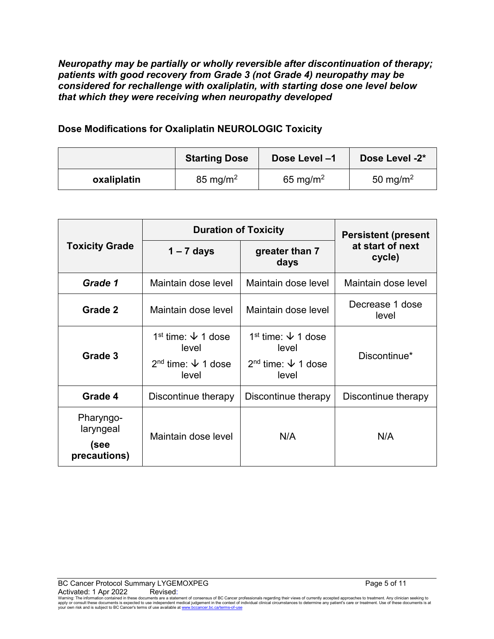*Neuropathy may be partially or wholly reversible after discontinuation of therapy; patients with good recovery from Grade 3 (not Grade 4) neuropathy may be considered for rechallenge with oxaliplatin, with starting dose one level below that which they were receiving when neuropathy developed*

### **Dose Modifications for Oxaliplatin NEUROLOGIC Toxicity**

|             | <b>Starting Dose</b> | Dose Level -1        | Dose Level -2*       |
|-------------|----------------------|----------------------|----------------------|
| oxaliplatin | $85 \text{ mg/m}^2$  | 65 mg/m <sup>2</sup> | 50 mg/m <sup>2</sup> |

|                                                | <b>Duration of Toxicity</b>                                                                |                                                                                            | <b>Persistent (present</b> |  |
|------------------------------------------------|--------------------------------------------------------------------------------------------|--------------------------------------------------------------------------------------------|----------------------------|--|
| <b>Toxicity Grade</b>                          | $1 - 7$ days                                                                               | greater than 7<br>days                                                                     | at start of next<br>cycle) |  |
| Grade 1                                        | Maintain dose level                                                                        | Maintain dose level                                                                        | Maintain dose level        |  |
| Grade 2                                        | Maintain dose level                                                                        | Maintain dose level                                                                        | Decrease 1 dose<br>level   |  |
| Grade 3                                        | 1 <sup>st</sup> time: $\sqrt{ }$ 1 dose<br>level<br>$2nd$ time: $\sqrt{ }$ 1 dose<br>level | 1 <sup>st</sup> time: $\sqrt{ }$ 1 dose<br>level<br>$2nd$ time: $\sqrt{ }$ 1 dose<br>level | Discontinue*               |  |
| Grade 4                                        | Discontinue therapy                                                                        | Discontinue therapy                                                                        | Discontinue therapy        |  |
| Pharyngo-<br>laryngeal<br>(see<br>precautions) | Maintain dose level                                                                        | N/A                                                                                        | N/A                        |  |

Warning: The information contained in these documents are a statement of consensus of BC Cancer professionals regarding their views of currently accepted approaches to treatment. Any clinician seeking to<br>apply or consult t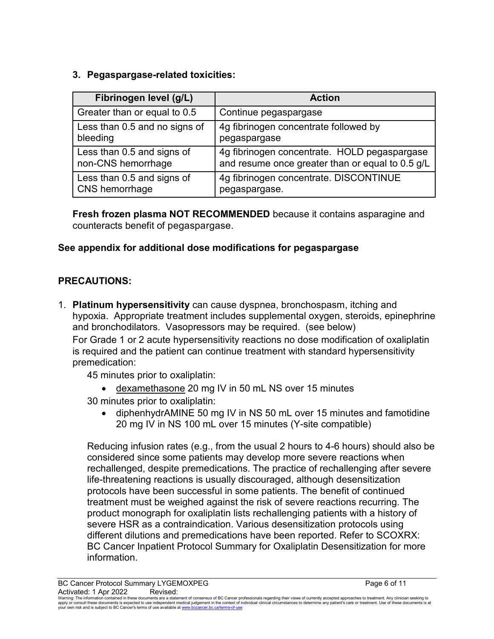# **3. Pegaspargase-related toxicities:**

| Fibrinogen level (g/L)        | <b>Action</b>                                    |
|-------------------------------|--------------------------------------------------|
| Greater than or equal to 0.5  | Continue pegaspargase                            |
| Less than 0.5 and no signs of | 4g fibrinogen concentrate followed by            |
| bleeding                      | pegaspargase                                     |
| Less than 0.5 and signs of    | 4g fibrinogen concentrate. HOLD pegaspargase     |
| non-CNS hemorrhage            | and resume once greater than or equal to 0.5 g/L |
| Less than 0.5 and signs of    | 4g fibrinogen concentrate. DISCONTINUE           |
| CNS hemorrhage                | pegaspargase.                                    |

**Fresh frozen plasma NOT RECOMMENDED** because it contains asparagine and counteracts benefit of pegaspargase.

# **See appendix for additional dose modifications for pegaspargase**

# **PRECAUTIONS:**

1. **Platinum hypersensitivity** can cause dyspnea, bronchospasm, itching and hypoxia. Appropriate treatment includes supplemental oxygen, steroids, epinephrine and bronchodilators. Vasopressors may be required. (see below) For Grade 1 or 2 acute hypersensitivity reactions no dose modification of oxaliplatin is required and the patient can continue treatment with standard hypersensitivity premedication:

45 minutes prior to oxaliplatin:

- dexamethasone 20 mg IV in 50 mL NS over 15 minutes
- 30 minutes prior to oxaliplatin:
	- diphenhydrAMINE 50 mg IV in NS 50 mL over 15 minutes and famotidine 20 mg IV in NS 100 mL over 15 minutes (Y-site compatible)

Reducing infusion rates (e.g., from the usual 2 hours to 4-6 hours) should also be considered since some patients may develop more severe reactions when rechallenged, despite premedications. The practice of rechallenging after severe life-threatening reactions is usually discouraged, although desensitization protocols have been successful in some patients. The benefit of continued treatment must be weighed against the risk of severe reactions recurring. The product monograph for oxaliplatin lists rechallenging patients with a history of severe HSR as a contraindication. Various desensitization protocols using different dilutions and premedications have been reported. Refer to SCOXRX: BC Cancer Inpatient Protocol Summary for Oxaliplatin Desensitization for more information.

BC Cancer Protocol Summary LYGEMOXPEG **Page 6 of 11** and the page 6 of 11

Activated: 1 Apr 2022<br>Warning: The information contained in these documents are a statement of consensus of BC Cancer professionals regarding their views of currently accepted approaches to treatment. Any clinician seeking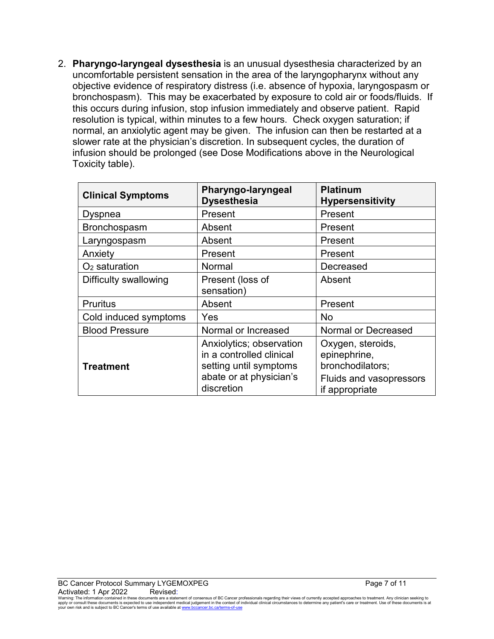2. **Pharyngo-laryngeal dysesthesia** is an unusual dysesthesia characterized by an uncomfortable persistent sensation in the area of the laryngopharynx without any objective evidence of respiratory distress (i.e. absence of hypoxia, laryngospasm or bronchospasm). This may be exacerbated by exposure to cold air or foods/fluids. If this occurs during infusion, stop infusion immediately and observe patient. Rapid resolution is typical, within minutes to a few hours. Check oxygen saturation; if normal, an anxiolytic agent may be given. The infusion can then be restarted at a slower rate at the physician's discretion. In subsequent cycles, the duration of infusion should be prolonged (see Dose Modifications above in the Neurological Toxicity table).

| <b>Clinical Symptoms</b> | Pharyngo-laryngeal<br><b>Dysesthesia</b>                                                                                | <b>Platinum</b><br><b>Hypersensitivity</b>                                                         |  |
|--------------------------|-------------------------------------------------------------------------------------------------------------------------|----------------------------------------------------------------------------------------------------|--|
| Dyspnea                  | Present                                                                                                                 | Present                                                                                            |  |
| Bronchospasm             | Absent                                                                                                                  | Present                                                                                            |  |
| Laryngospasm             | Absent                                                                                                                  | Present                                                                                            |  |
| Anxiety                  | Present                                                                                                                 | Present                                                                                            |  |
| $O2$ saturation          | Normal                                                                                                                  | Decreased                                                                                          |  |
| Difficulty swallowing    | Present (loss of                                                                                                        | Absent                                                                                             |  |
|                          | sensation)                                                                                                              |                                                                                                    |  |
| <b>Pruritus</b>          | Absent                                                                                                                  | Present                                                                                            |  |
| Cold induced symptoms    | Yes                                                                                                                     | No                                                                                                 |  |
| <b>Blood Pressure</b>    | Normal or Increased                                                                                                     | <b>Normal or Decreased</b>                                                                         |  |
| <b>Treatment</b>         | Anxiolytics; observation<br>in a controlled clinical<br>setting until symptoms<br>abate or at physician's<br>discretion | Oxygen, steroids,<br>epinephrine,<br>bronchodilators;<br>Fluids and vasopressors<br>if appropriate |  |

Warning: The information contained in these documents are a statement of consensus of BC Cancer professionals regarding their views of currently accepted approaches to treatment. Any clinician seeking to<br>apply or consult t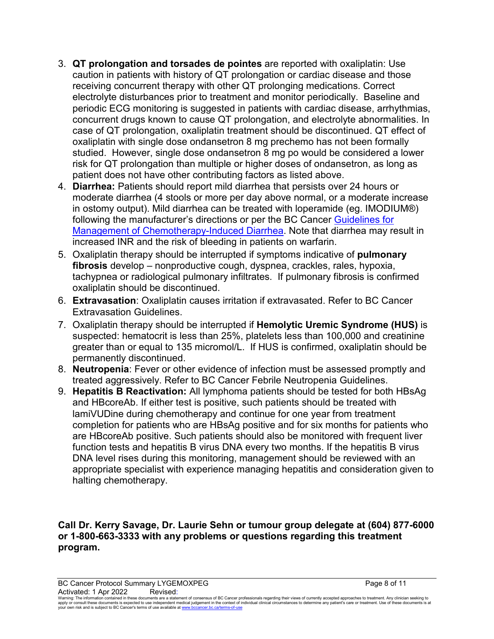- 3. **QT prolongation and torsades de pointes** are reported with oxaliplatin: Use caution in patients with history of QT prolongation or cardiac disease and those receiving concurrent therapy with other QT prolonging medications. Correct electrolyte disturbances prior to treatment and monitor periodically. Baseline and periodic ECG monitoring is suggested in patients with cardiac disease, arrhythmias, concurrent drugs known to cause QT prolongation, and electrolyte abnormalities. In case of QT prolongation, oxaliplatin treatment should be discontinued. QT effect of oxaliplatin with single dose ondansetron 8 mg prechemo has not been formally studied. However, single dose ondansetron 8 mg po would be considered a lower risk for QT prolongation than multiple or higher doses of ondansetron, as long as patient does not have other contributing factors as listed above.
- 4. **Diarrhea:** Patients should report mild diarrhea that persists over 24 hours or moderate diarrhea (4 stools or more per day above normal, or a moderate increase in ostomy output). Mild diarrhea can be treated with loperamide (eg. IMODIUM®) following the manufacturer's directions or per the BC Cancer [Guidelines for](http://www.bccancer.bc.ca/health-professionals/professional-resources/cancer-management-guidelines/supportive-care)  [Management of Chemotherapy-Induced Diarrhea.](http://www.bccancer.bc.ca/health-professionals/professional-resources/cancer-management-guidelines/supportive-care) Note that diarrhea may result in increased INR and the risk of bleeding in patients on warfarin.
- 5. Oxaliplatin therapy should be interrupted if symptoms indicative of **pulmonary fibrosis** develop – nonproductive cough, dyspnea, crackles, rales, hypoxia, tachypnea or radiological pulmonary infiltrates. If pulmonary fibrosis is confirmed oxaliplatin should be discontinued.
- 6. **Extravasation**: Oxaliplatin causes irritation if extravasated. Refer to BC Cancer Extravasation Guidelines.
- 7. Oxaliplatin therapy should be interrupted if **Hemolytic Uremic Syndrome (HUS)** is suspected: hematocrit is less than 25%, platelets less than 100,000 and creatinine greater than or equal to 135 micromol/L. If HUS is confirmed, oxaliplatin should be permanently discontinued.
- 8. **Neutropenia**: Fever or other evidence of infection must be assessed promptly and treated aggressively. Refer to BC Cancer Febrile Neutropenia Guidelines.
- 9. **Hepatitis B Reactivation:** All lymphoma patients should be tested for both HBsAg and HBcoreAb. If either test is positive, such patients should be treated with lamiVUDine during chemotherapy and continue for one year from treatment completion for patients who are HBsAg positive and for six months for patients who are HBcoreAb positive. Such patients should also be monitored with frequent liver function tests and hepatitis B virus DNA every two months. If the hepatitis B virus DNA level rises during this monitoring, management should be reviewed with an appropriate specialist with experience managing hepatitis and consideration given to halting chemotherapy.

**Call Dr. Kerry Savage, Dr. Laurie Sehn or tumour group delegate at (604) 877-6000 or 1-800-663-3333 with any problems or questions regarding this treatment program.**

BC Cancer Protocol Summary LYGEMOXPEG **Page 8 of 11** and 20 and 20 and 20 and 20 and 20 and 20 and 20 and 20 and 20 and 20 and 20 and 20 and 20 and 20 and 20 and 20 and 20 and 20 and 20 and 20 and 20 and 20 and 20 and 20 a Activated: 1 Apr 2022 Revised:

Waming: The information contained in these documents are a statement of consensus of BC Cancer professionals regarding their views of currently accepted approaches to treatment. Any clinicial seeking to<br>apply or consult th your own risk and is subject to BC Cancer's terms of use available a[t www.bccancer.bc.ca/terms-of-use](http://www.bccancer.bc.ca/terms-of-use)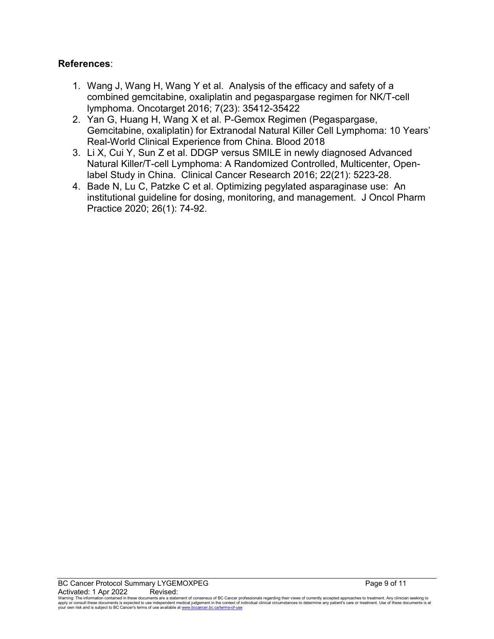#### **References**:

- 1. Wang J, Wang H, Wang Y et al. Analysis of the efficacy and safety of a combined gemcitabine, oxaliplatin and pegaspargase regimen for NK/T-cell lymphoma. Oncotarget 2016; 7(23): 35412-35422
- 2. Yan G, Huang H, Wang X et al. P-Gemox Regimen (Pegaspargase, Gemcitabine, oxaliplatin) for Extranodal Natural Killer Cell Lymphoma: 10 Years' Real-World Clinical Experience from China. Blood 2018
- 3. Li X, Cui Y, Sun Z et al. DDGP versus SMILE in newly diagnosed Advanced Natural Killer/T-cell Lymphoma: A Randomized Controlled, Multicenter, Openlabel Study in China. Clinical Cancer Research 2016; 22(21): 5223-28.
- 4. Bade N, Lu C, Patzke C et al. Optimizing pegylated asparaginase use: An institutional guideline for dosing, monitoring, and management. J Oncol Pharm Practice 2020; 26(1): 74-92.

Warning: The information contained in these documents are a statement of consensus of BC Cancer professionals regarding their views of currently accepted approaches to treatment. Any clinician seeking to<br>apply or consult t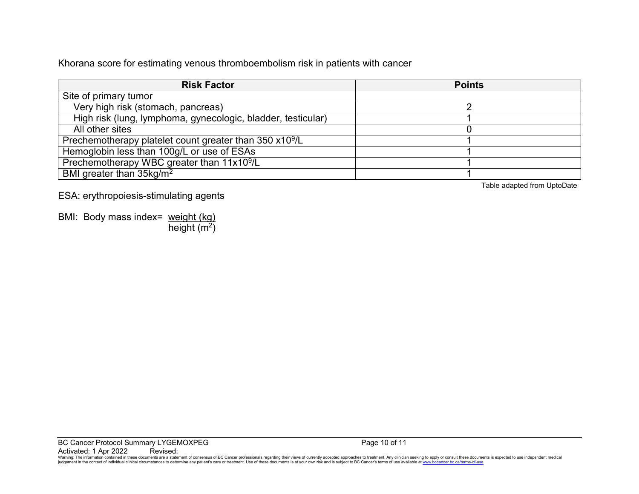Khorana score for estimating venous thromboembolism risk in patients with cancer

| <b>Risk Factor</b>                                                  | <b>Points</b> |
|---------------------------------------------------------------------|---------------|
| Site of primary tumor                                               |               |
| Very high risk (stomach, pancreas)                                  |               |
| High risk (lung, lymphoma, gynecologic, bladder, testicular)        |               |
| All other sites                                                     |               |
| Prechemotherapy platelet count greater than 350 x10 <sup>9</sup> /L |               |
| Hemoglobin less than 100g/L or use of ESAs                          |               |
| Prechemotherapy WBC greater than 11x10 <sup>9</sup> /L              |               |
| BMI greater than 35kg/m <sup>2</sup>                                |               |

ESA: erythropoiesis-stimulating agents

BMI: Body mass index= weight (kg) height  $(m<sup>2</sup>)$ 

Table adapted from UptoDate

Warning: The information contained in these documents are a statement of consensus of BC Cancer professionals regarding their views of currently accepted approaches to treatment. Any clinician seeking to apply or consult t judgement in the context of individual clinical circumstances to determine any patient's care or treatment. Use of these documents is at your own risk and is subject to BC Cancer's terms of use available at www.bccancer.bc